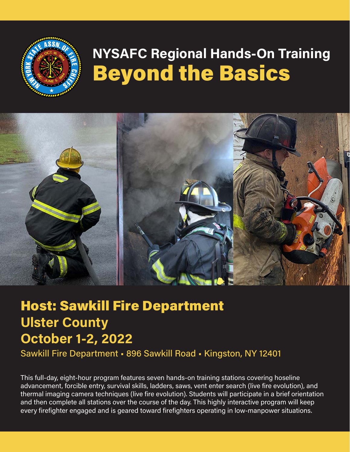

# **NYSAFC Regional Hands-On Training**  Beyond the Basics



## Host: Sawkill Fire Department **Ulster County October 1-2, 2022**

Sawkill Fire Department • 896 Sawkill Road • Kingston, NY 12401

This full-day, eight-hour program features seven hands-on training stations covering hoseline advancement, forcible entry, survival skills, ladders, saws, vent enter search (live fire evolution), and thermal imaging camera techniques (live fire evolution). Students will participate in a brief orientation and then complete all stations over the course of the day. This highly interactive program will keep every firefighter engaged and is geared toward firefighters operating in low-manpower situations.